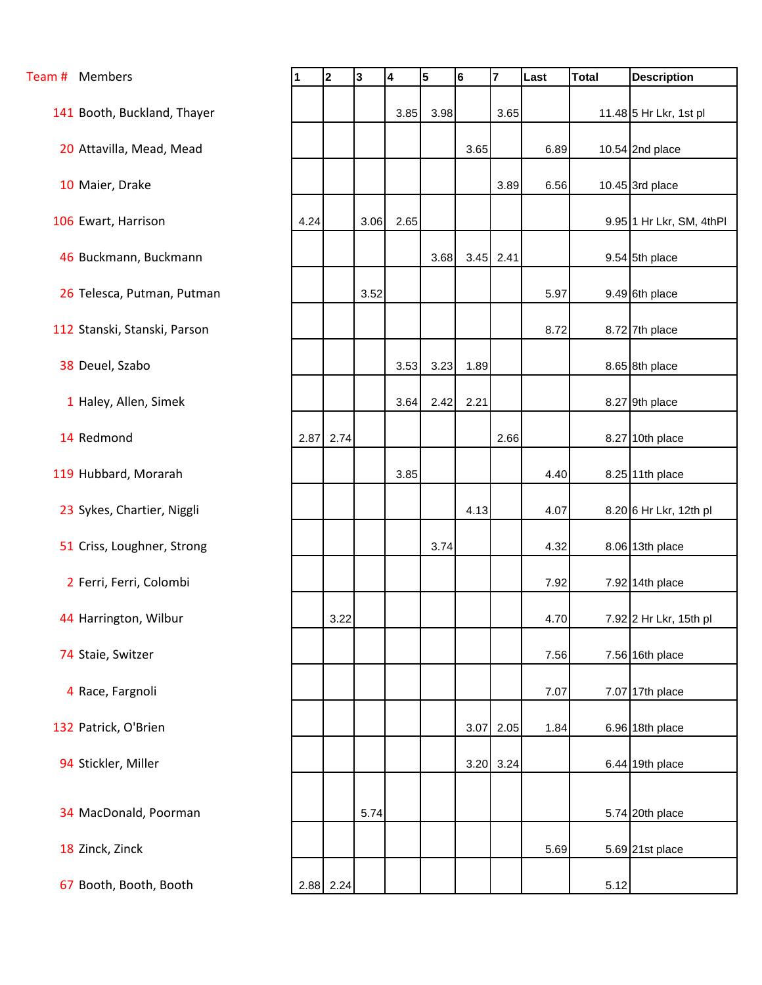| Team # Members               | 1    | 2         | 3    | 4    | 5    | 6    | $\overline{7}$ | Last | <b>Total</b> | <b>Description</b>       |
|------------------------------|------|-----------|------|------|------|------|----------------|------|--------------|--------------------------|
| 141 Booth, Buckland, Thayer  |      |           |      | 3.85 | 3.98 |      | 3.65           |      |              | 11.48 5 Hr Lkr, 1st pl   |
|                              |      |           |      |      |      |      |                |      |              |                          |
| 20 Attavilla, Mead, Mead     |      |           |      |      |      | 3.65 |                | 6.89 |              | 10.54 2nd place          |
| 10 Maier, Drake              |      |           |      |      |      |      | 3.89           | 6.56 |              | 10.45 3rd place          |
| 106 Ewart, Harrison          | 4.24 |           | 3.06 | 2.65 |      |      |                |      |              | 9.95 1 Hr Lkr, SM, 4thPl |
| 46 Buckmann, Buckmann        |      |           |      |      | 3.68 |      | $3.45$ 2.41    |      |              | 9.54 5th place           |
| 26 Telesca, Putman, Putman   |      |           | 3.52 |      |      |      |                | 5.97 |              | 9.49 6th place           |
| 112 Stanski, Stanski, Parson |      |           |      |      |      |      |                | 8.72 |              | 8.72 7th place           |
| 38 Deuel, Szabo              |      |           |      | 3.53 | 3.23 | 1.89 |                |      |              | 8.65 8th place           |
| 1 Haley, Allen, Simek        |      |           |      | 3.64 | 2.42 | 2.21 |                |      |              | 8.27 9th place           |
| 14 Redmond                   |      | 2.87 2.74 |      |      |      |      | 2.66           |      |              | 8.27 10th place          |
| 119 Hubbard, Morarah         |      |           |      | 3.85 |      |      |                | 4.40 |              | 8.25 11th place          |
| 23 Sykes, Chartier, Niggli   |      |           |      |      |      | 4.13 |                | 4.07 |              | 8.20 6 Hr Lkr, 12th pl   |
| 51 Criss, Loughner, Strong   |      |           |      |      | 3.74 |      |                | 4.32 |              | 8.06 13th place          |
| 2 Ferri, Ferri, Colombi      |      |           |      |      |      |      |                | 7.92 |              | 7.92 14th place          |
| 44 Harrington, Wilbur        |      | 3.22      |      |      |      |      |                | 4.70 |              | 7.92 2 Hr Lkr, 15th pl   |
| 74 Staie, Switzer            |      |           |      |      |      |      |                | 7.56 |              | 7.56 16th place          |
| 4 Race, Fargnoli             |      |           |      |      |      |      |                | 7.07 |              | 7.07 17th place          |
| 132 Patrick, O'Brien         |      |           |      |      |      | 3.07 | 2.05           | 1.84 |              | 6.96 18th place          |
| 94 Stickler, Miller          |      |           |      |      |      | 3.20 | 3.24           |      |              | 6.44 19th place          |
|                              |      |           |      |      |      |      |                |      |              |                          |
| 34 MacDonald, Poorman        |      |           | 5.74 |      |      |      |                |      |              | 5.74 20th place          |
| 18 Zinck, Zinck              |      |           |      |      |      |      |                | 5.69 |              | 5.69 21st place          |
| 67 Booth, Booth, Booth       |      | 2.88 2.24 |      |      |      |      |                |      | 5.12         |                          |
|                              |      |           |      |      |      |      |                |      |              |                          |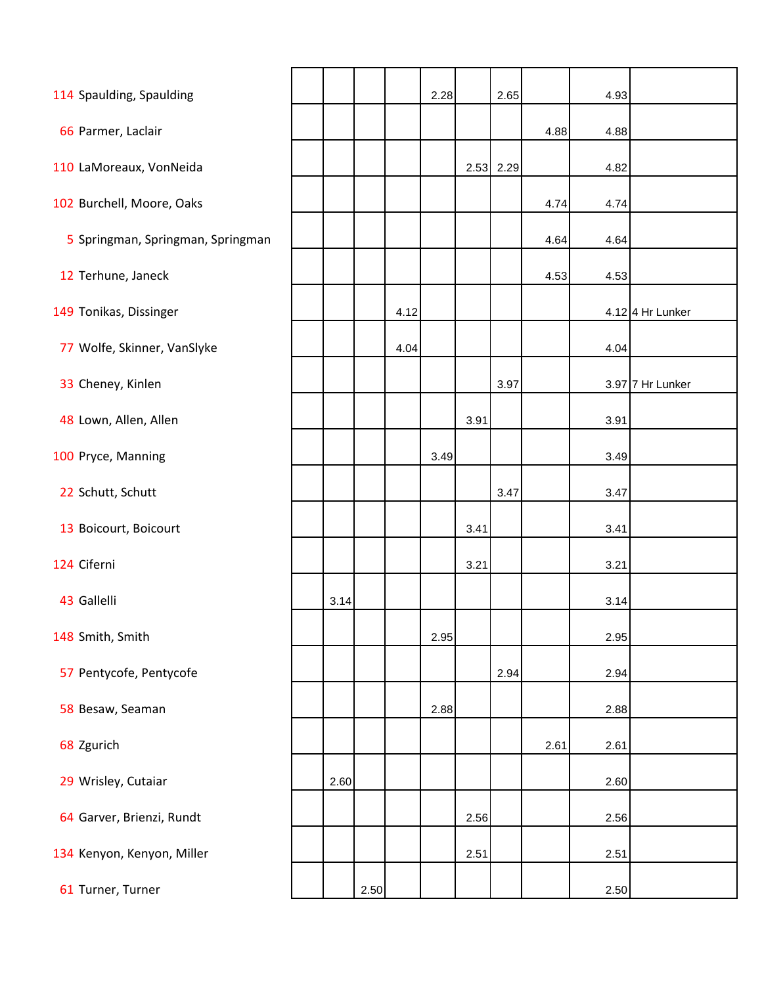| 114 Spaulding, Spaulding          |      |      |      | 2.28 |      | 2.65      |      | 4.93 |                    |
|-----------------------------------|------|------|------|------|------|-----------|------|------|--------------------|
| 66 Parmer, Laclair                |      |      |      |      |      |           | 4.88 | 4.88 |                    |
| 110 LaMoreaux, VonNeida           |      |      |      |      |      | 2.53 2.29 |      | 4.82 |                    |
| 102 Burchell, Moore, Oaks         |      |      |      |      |      |           | 4.74 | 4.74 |                    |
| 5 Springman, Springman, Springman |      |      |      |      |      |           | 4.64 | 4.64 |                    |
|                                   |      |      |      |      |      |           |      |      |                    |
| 12 Terhune, Janeck                |      |      |      |      |      |           | 4.53 | 4.53 |                    |
| 149 Tonikas, Dissinger            |      |      | 4.12 |      |      |           |      |      | $4.12$ 4 Hr Lunker |
| 77 Wolfe, Skinner, VanSlyke       |      |      | 4.04 |      |      |           |      | 4.04 |                    |
| 33 Cheney, Kinlen                 |      |      |      |      |      | 3.97      |      |      | 3.97 7 Hr Lunker   |
| 48 Lown, Allen, Allen             |      |      |      |      | 3.91 |           |      | 3.91 |                    |
| 100 Pryce, Manning                |      |      |      | 3.49 |      |           |      | 3.49 |                    |
| 22 Schutt, Schutt                 |      |      |      |      |      | 3.47      |      | 3.47 |                    |
| 13 Boicourt, Boicourt             |      |      |      |      | 3.41 |           |      | 3.41 |                    |
| 124 Ciferni                       |      |      |      |      | 3.21 |           |      | 3.21 |                    |
| 43 Gallelli                       | 3.14 |      |      |      |      |           |      | 3.14 |                    |
| 148 Smith, Smith                  |      |      |      | 2.95 |      |           |      | 2.95 |                    |
| 57 Pentycofe, Pentycofe           |      |      |      |      |      | 2.94      |      | 2.94 |                    |
| 58 Besaw, Seaman                  |      |      |      | 2.88 |      |           |      | 2.88 |                    |
| 68 Zgurich                        |      |      |      |      |      |           | 2.61 | 2.61 |                    |
| 29 Wrisley, Cutaiar               | 2.60 |      |      |      |      |           |      | 2.60 |                    |
| 64 Garver, Brienzi, Rundt         |      |      |      |      | 2.56 |           |      | 2.56 |                    |
| 134 Kenyon, Kenyon, Miller        |      |      |      |      | 2.51 |           |      | 2.51 |                    |
| 61 Turner, Turner                 |      | 2.50 |      |      |      |           |      | 2.50 |                    |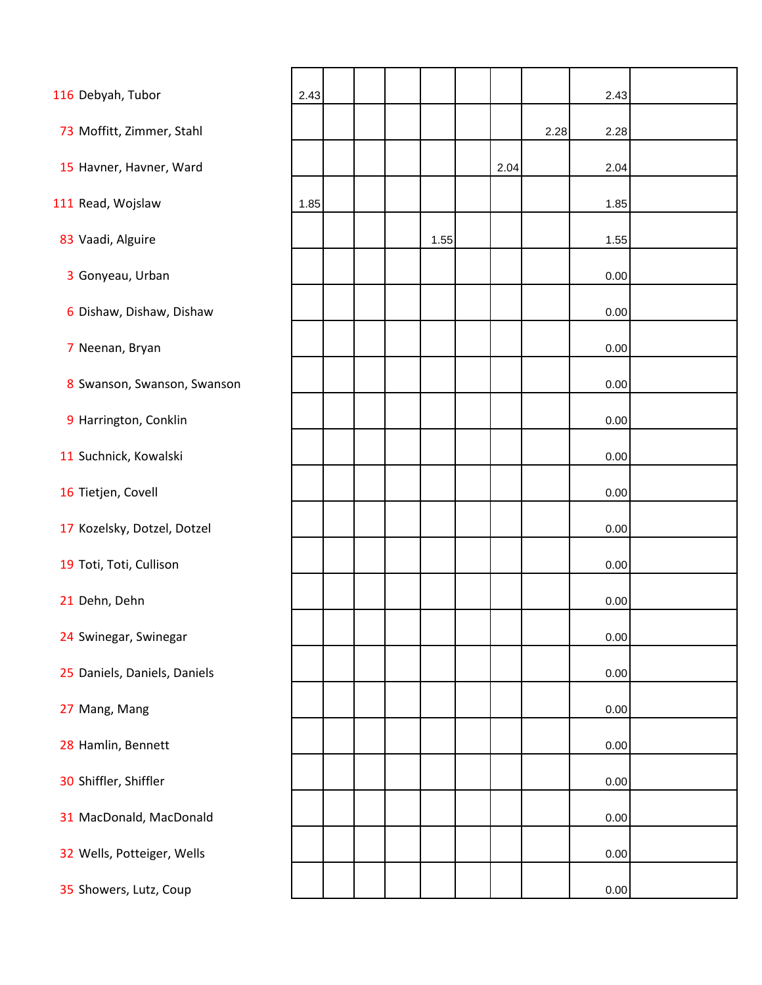| 116 Debyah, Tubor            | 2.43 |  |      |      |      | 2.43     |  |
|------------------------------|------|--|------|------|------|----------|--|
| 73 Moffitt, Zimmer, Stahl    |      |  |      |      | 2.28 | 2.28     |  |
| 15 Havner, Havner, Ward      |      |  |      | 2.04 |      | 2.04     |  |
| 111 Read, Wojslaw            | 1.85 |  |      |      |      | 1.85     |  |
| 83 Vaadi, Alguire            |      |  | 1.55 |      |      | 1.55     |  |
| 3 Gonyeau, Urban             |      |  |      |      |      | 0.00     |  |
| 6 Dishaw, Dishaw, Dishaw     |      |  |      |      |      | 0.00     |  |
|                              |      |  |      |      |      |          |  |
| 7 Neenan, Bryan              |      |  |      |      |      | 0.00     |  |
| 8 Swanson, Swanson, Swanson  |      |  |      |      |      | 0.00     |  |
| 9 Harrington, Conklin        |      |  |      |      |      | 0.00     |  |
| 11 Suchnick, Kowalski        |      |  |      |      |      | 0.00     |  |
| 16 Tietjen, Covell           |      |  |      |      |      | 0.00     |  |
| 17 Kozelsky, Dotzel, Dotzel  |      |  |      |      |      | 0.00     |  |
| 19 Toti, Toti, Cullison      |      |  |      |      |      | 0.00     |  |
| 21 Dehn, Dehn                |      |  |      |      |      | 0.00     |  |
| 24 Swinegar, Swinegar        |      |  |      |      |      | 0.00     |  |
| 25 Daniels, Daniels, Daniels |      |  |      |      |      | 0.00     |  |
| 27 Mang, Mang                |      |  |      |      |      | 0.00     |  |
| 28 Hamlin, Bennett           |      |  |      |      |      | 0.00     |  |
| 30 Shiffler, Shiffler        |      |  |      |      |      | 0.00     |  |
| 31 MacDonald, MacDonald      |      |  |      |      |      | 0.00     |  |
| 32 Wells, Potteiger, Wells   |      |  |      |      |      | 0.00     |  |
| 35 Showers, Lutz, Coup       |      |  |      |      |      | $0.00\,$ |  |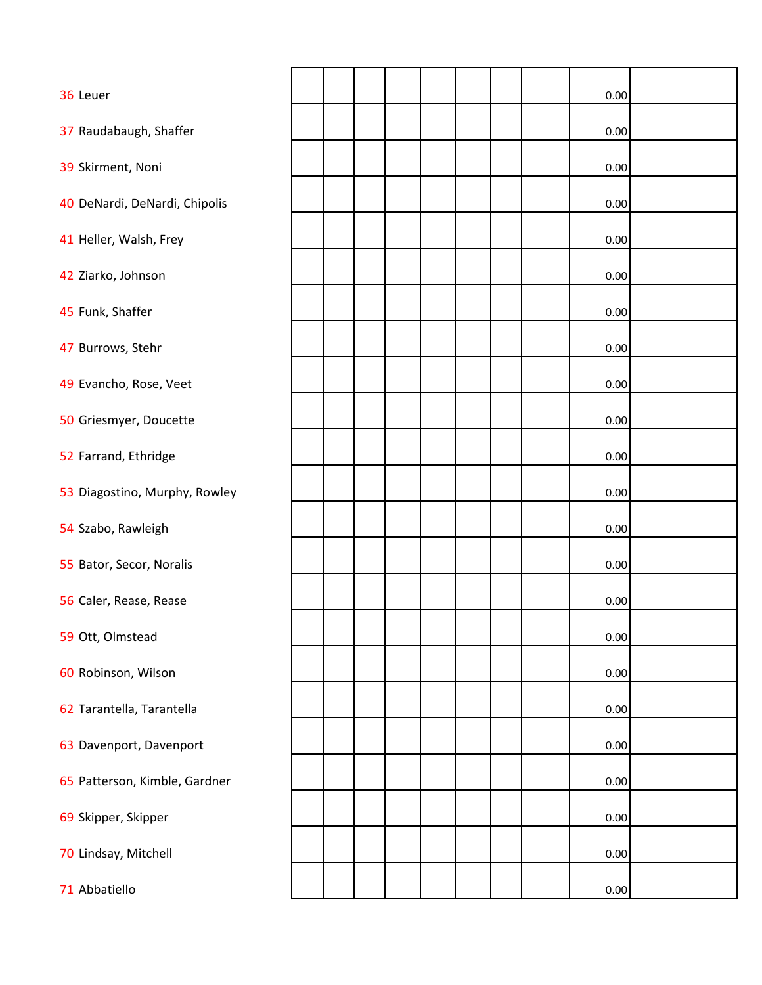| 36 Leuer                      |  |  |  |  | 0.00 |  |
|-------------------------------|--|--|--|--|------|--|
| 37 Raudabaugh, Shaffer        |  |  |  |  | 0.00 |  |
| 39 Skirment, Noni             |  |  |  |  | 0.00 |  |
| 40 DeNardi, DeNardi, Chipolis |  |  |  |  | 0.00 |  |
| 41 Heller, Walsh, Frey        |  |  |  |  | 0.00 |  |
| 42 Ziarko, Johnson            |  |  |  |  | 0.00 |  |
| 45 Funk, Shaffer              |  |  |  |  | 0.00 |  |
| 47 Burrows, Stehr             |  |  |  |  | 0.00 |  |
| 49 Evancho, Rose, Veet        |  |  |  |  | 0.00 |  |
| 50 Griesmyer, Doucette        |  |  |  |  | 0.00 |  |
| 52 Farrand, Ethridge          |  |  |  |  | 0.00 |  |
| 53 Diagostino, Murphy, Rowley |  |  |  |  | 0.00 |  |
| 54 Szabo, Rawleigh            |  |  |  |  | 0.00 |  |
| 55 Bator, Secor, Noralis      |  |  |  |  | 0.00 |  |
| 56 Caler, Rease, Rease        |  |  |  |  | 0.00 |  |
| 59 Ott, Olmstead              |  |  |  |  | 0.00 |  |
|                               |  |  |  |  |      |  |
| 60 Robinson, Wilson           |  |  |  |  | 0.00 |  |
| 62 Tarantella, Tarantella     |  |  |  |  | 0.00 |  |
| 63 Davenport, Davenport       |  |  |  |  | 0.00 |  |
| 65 Patterson, Kimble, Gardner |  |  |  |  | 0.00 |  |
| 69 Skipper, Skipper           |  |  |  |  | 0.00 |  |
| 70 Lindsay, Mitchell          |  |  |  |  | 0.00 |  |
| 71 Abbatiello                 |  |  |  |  | 0.00 |  |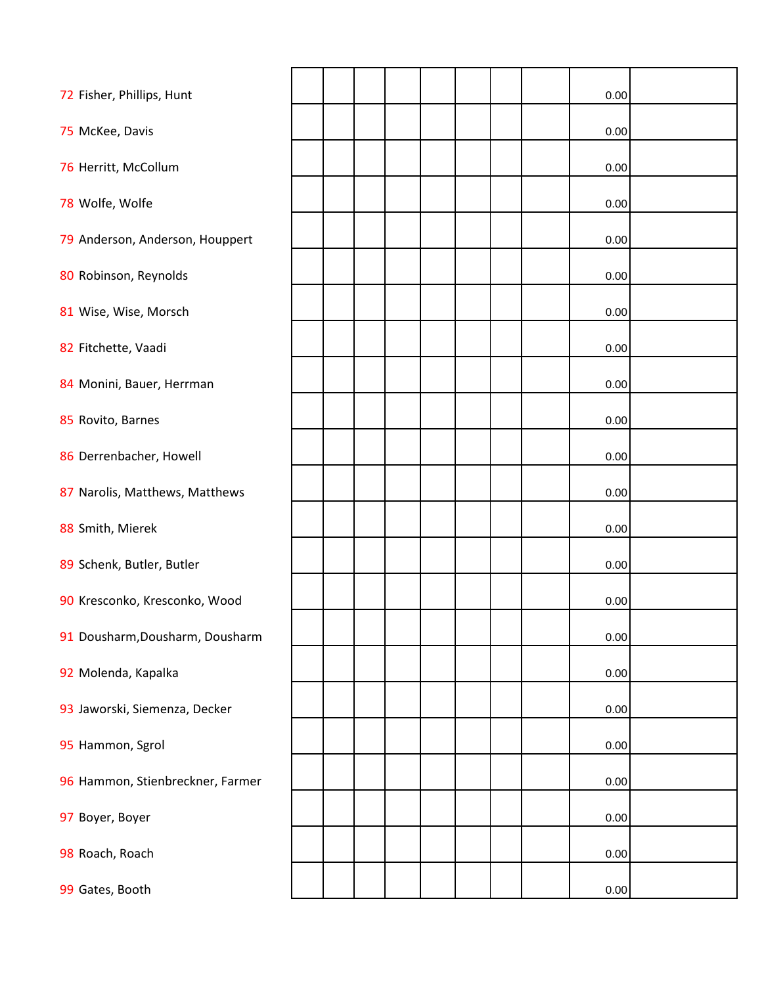| 72 Fisher, Phillips, Hunt        |  |  |  |  | 0.00 |  |
|----------------------------------|--|--|--|--|------|--|
| 75 McKee, Davis                  |  |  |  |  | 0.00 |  |
| 76 Herritt, McCollum             |  |  |  |  | 0.00 |  |
| 78 Wolfe, Wolfe                  |  |  |  |  | 0.00 |  |
| 79 Anderson, Anderson, Houppert  |  |  |  |  | 0.00 |  |
| 80 Robinson, Reynolds            |  |  |  |  | 0.00 |  |
| 81 Wise, Wise, Morsch            |  |  |  |  | 0.00 |  |
| 82 Fitchette, Vaadi              |  |  |  |  | 0.00 |  |
| 84 Monini, Bauer, Herrman        |  |  |  |  | 0.00 |  |
| 85 Rovito, Barnes                |  |  |  |  | 0.00 |  |
| 86 Derrenbacher, Howell          |  |  |  |  | 0.00 |  |
| 87 Narolis, Matthews, Matthews   |  |  |  |  | 0.00 |  |
| 88 Smith, Mierek                 |  |  |  |  | 0.00 |  |
| 89 Schenk, Butler, Butler        |  |  |  |  | 0.00 |  |
| 90 Kresconko, Kresconko, Wood    |  |  |  |  | 0.00 |  |
| 91 Dousharm, Dousharm, Dousharm  |  |  |  |  | 0.00 |  |
| 92 Molenda, Kapalka              |  |  |  |  | 0.00 |  |
| 93 Jaworski, Siemenza, Decker    |  |  |  |  | 0.00 |  |
| 95 Hammon, Sgrol                 |  |  |  |  | 0.00 |  |
| 96 Hammon, Stienbreckner, Farmer |  |  |  |  | 0.00 |  |
| 97 Boyer, Boyer                  |  |  |  |  | 0.00 |  |
| 98 Roach, Roach                  |  |  |  |  | 0.00 |  |
| 99 Gates, Booth                  |  |  |  |  | 0.00 |  |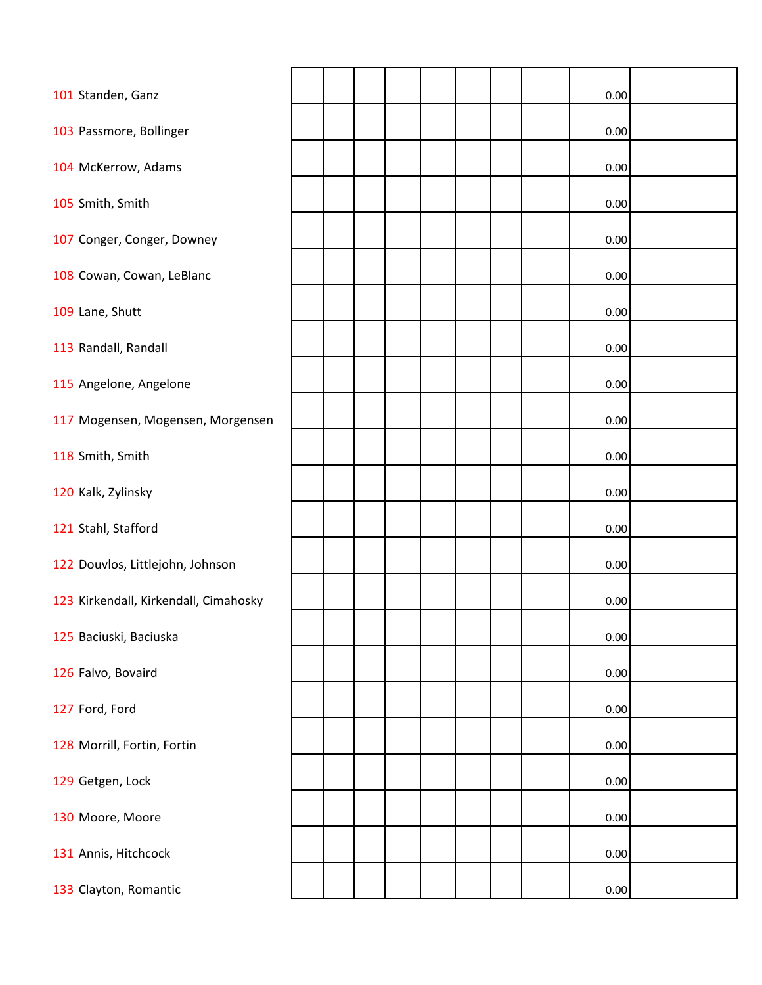| 101 Standen, Ganz                     |  |  |  |  | 0.00     |  |
|---------------------------------------|--|--|--|--|----------|--|
| 103 Passmore, Bollinger               |  |  |  |  | 0.00     |  |
| 104 McKerrow, Adams                   |  |  |  |  | 0.00     |  |
| 105 Smith, Smith                      |  |  |  |  | 0.00     |  |
| 107 Conger, Conger, Downey            |  |  |  |  | 0.00     |  |
| 108 Cowan, Cowan, LeBlanc             |  |  |  |  | 0.00     |  |
|                                       |  |  |  |  |          |  |
| 109 Lane, Shutt                       |  |  |  |  | 0.00     |  |
| 113 Randall, Randall                  |  |  |  |  | 0.00     |  |
| 115 Angelone, Angelone                |  |  |  |  | 0.00     |  |
| 117 Mogensen, Mogensen, Morgensen     |  |  |  |  | 0.00     |  |
| 118 Smith, Smith                      |  |  |  |  | 0.00     |  |
| 120 Kalk, Zylinsky                    |  |  |  |  | 0.00     |  |
| 121 Stahl, Stafford                   |  |  |  |  | 0.00     |  |
| 122 Douvlos, Littlejohn, Johnson      |  |  |  |  | 0.00     |  |
| 123 Kirkendall, Kirkendall, Cimahosky |  |  |  |  | 0.00     |  |
| 125 Baciuski, Baciuska                |  |  |  |  | 0.00     |  |
| 126 Falvo, Bovaird                    |  |  |  |  | 0.00     |  |
| 127 Ford, Ford                        |  |  |  |  | 0.00     |  |
| 128 Morrill, Fortin, Fortin           |  |  |  |  | 0.00     |  |
| 129 Getgen, Lock                      |  |  |  |  | 0.00     |  |
| 130 Moore, Moore                      |  |  |  |  | 0.00     |  |
| 131 Annis, Hitchcock                  |  |  |  |  | 0.00     |  |
| 133 Clayton, Romantic                 |  |  |  |  | $0.00\,$ |  |